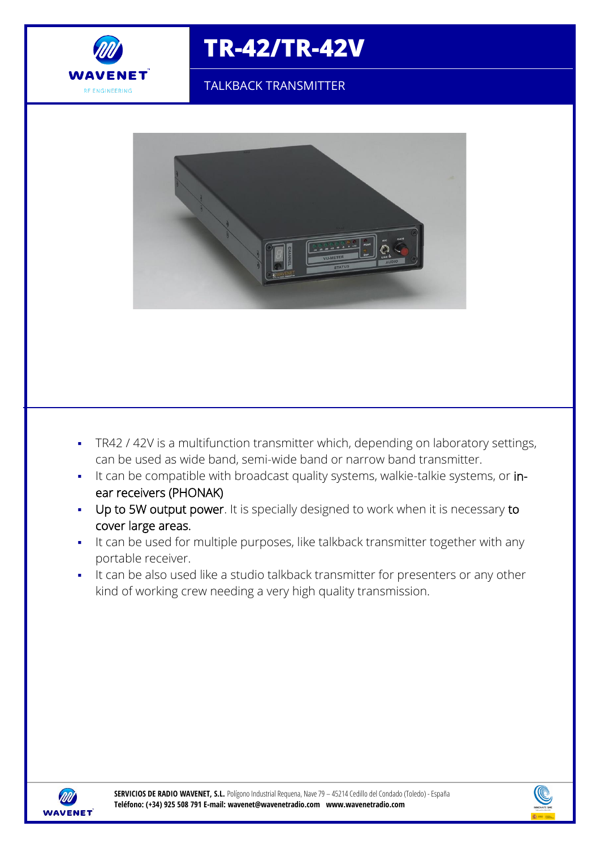

# **TR-42/TR-42V**

# TALKBACK TRANSMITTER



- TR42 / 42V is a multifunction transmitter which, depending on laboratory settings, can be used as wide band, semi-wide band or narrow band transmitter.
- It can be compatible with broadcast quality systems, walkie-talkie systems, or inear receivers (PHONAK)
- Up to 5W output power. It is specially designed to work when it is necessary to cover large areas.
- It can be used for multiple purposes, like talkback transmitter together with any portable receiver.
- It can be also used like a studio talkback transmitter for presenters or any other kind of working crew needing a very high quality transmission.